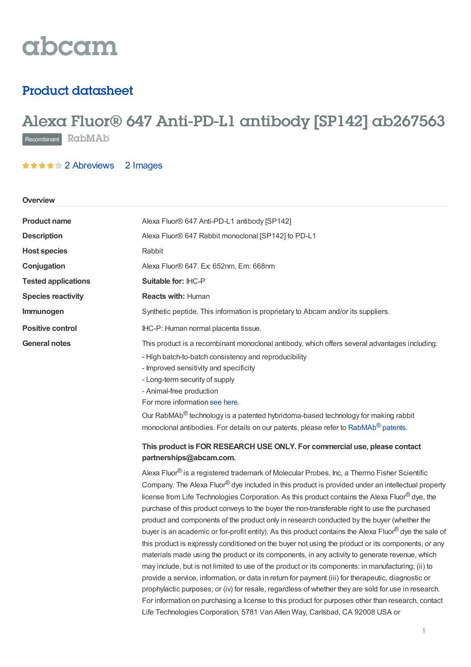# abcam

## Product datasheet

## Alexa Fluor® 647 Anti-PD-L1 antibody [SP142] ab267563 Recombinant RabMAb

### **★★★★★2 [Abreviews](https://www.abcam.com/alexa-fluor-647-pd-l1-antibody-sp142-ab267563.html?productWallTab=Abreviews) 2 Images**

#### **Overview**

| <b>Product name</b>        | Alexa Fluor® 647 Anti-PD-L1 antibody [SP142]                                                                                                                                                                                                                                                                                                                                                                                                                                                                                                                                                                                                                                                                                                                                                                                                                                                                                                                                                                                                                                                                                                                                                                                                                                                                                           |  |  |
|----------------------------|----------------------------------------------------------------------------------------------------------------------------------------------------------------------------------------------------------------------------------------------------------------------------------------------------------------------------------------------------------------------------------------------------------------------------------------------------------------------------------------------------------------------------------------------------------------------------------------------------------------------------------------------------------------------------------------------------------------------------------------------------------------------------------------------------------------------------------------------------------------------------------------------------------------------------------------------------------------------------------------------------------------------------------------------------------------------------------------------------------------------------------------------------------------------------------------------------------------------------------------------------------------------------------------------------------------------------------------|--|--|
| <b>Description</b>         | Alexa Fluor® 647 Rabbit monoclonal [SP142] to PD-L1                                                                                                                                                                                                                                                                                                                                                                                                                                                                                                                                                                                                                                                                                                                                                                                                                                                                                                                                                                                                                                                                                                                                                                                                                                                                                    |  |  |
| <b>Host species</b>        | Rabbit                                                                                                                                                                                                                                                                                                                                                                                                                                                                                                                                                                                                                                                                                                                                                                                                                                                                                                                                                                                                                                                                                                                                                                                                                                                                                                                                 |  |  |
| Conjugation                | Alexa Fluor® 647. Ex: 652nm, Em: 668nm                                                                                                                                                                                                                                                                                                                                                                                                                                                                                                                                                                                                                                                                                                                                                                                                                                                                                                                                                                                                                                                                                                                                                                                                                                                                                                 |  |  |
| <b>Tested applications</b> | Suitable for: IHC-P                                                                                                                                                                                                                                                                                                                                                                                                                                                                                                                                                                                                                                                                                                                                                                                                                                                                                                                                                                                                                                                                                                                                                                                                                                                                                                                    |  |  |
| <b>Species reactivity</b>  | <b>Reacts with: Human</b>                                                                                                                                                                                                                                                                                                                                                                                                                                                                                                                                                                                                                                                                                                                                                                                                                                                                                                                                                                                                                                                                                                                                                                                                                                                                                                              |  |  |
| Immunogen                  | Synthetic peptide. This information is proprietary to Abcam and/or its suppliers.                                                                                                                                                                                                                                                                                                                                                                                                                                                                                                                                                                                                                                                                                                                                                                                                                                                                                                                                                                                                                                                                                                                                                                                                                                                      |  |  |
| <b>Positive control</b>    | IHC-P: Human normal placenta tissue.                                                                                                                                                                                                                                                                                                                                                                                                                                                                                                                                                                                                                                                                                                                                                                                                                                                                                                                                                                                                                                                                                                                                                                                                                                                                                                   |  |  |
| <b>General notes</b>       | This product is a recombinant monoclonal antibody, which offers several advantages including:<br>- High batch-to-batch consistency and reproducibility<br>- Improved sensitivity and specificity<br>- Long-term security of supply<br>- Animal-free production<br>For more information see here.<br>Our RabMAb <sup>®</sup> technology is a patented hybridoma-based technology for making rabbit<br>monoclonal antibodies. For details on our patents, please refer to RabMAb® patents.<br>This product is FOR RESEARCH USE ONLY. For commercial use, please contact<br>partnerships@abcam.com.                                                                                                                                                                                                                                                                                                                                                                                                                                                                                                                                                                                                                                                                                                                                       |  |  |
|                            | Alexa Fluor <sup>®</sup> is a registered trademark of Molecular Probes, Inc, a Thermo Fisher Scientific<br>Company. The Alexa Fluor® dye included in this product is provided under an intellectual property<br>license from Life Technologies Corporation. As this product contains the Alexa Fluor® dye, the<br>purchase of this product conveys to the buyer the non-transferable right to use the purchased<br>product and components of the product only in research conducted by the buyer (whether the<br>buyer is an academic or for-profit entity). As this product contains the Alexa Fluor® dye the sale of<br>this product is expressly conditioned on the buyer not using the product or its components, or any<br>materials made using the product or its components, in any activity to generate revenue, which<br>may include, but is not limited to use of the product or its components: in manufacturing; (ii) to<br>provide a service, information, or data in return for payment (iii) for therapeutic, diagnostic or<br>prophylactic purposes; or (iv) for resale, regardless of whether they are sold for use in research.<br>For information on purchasing a license to this product for purposes other than research, contact<br>Life Technologies Corporation, 5781 Van Allen Way, Carlsbad, CA 92008 USA or |  |  |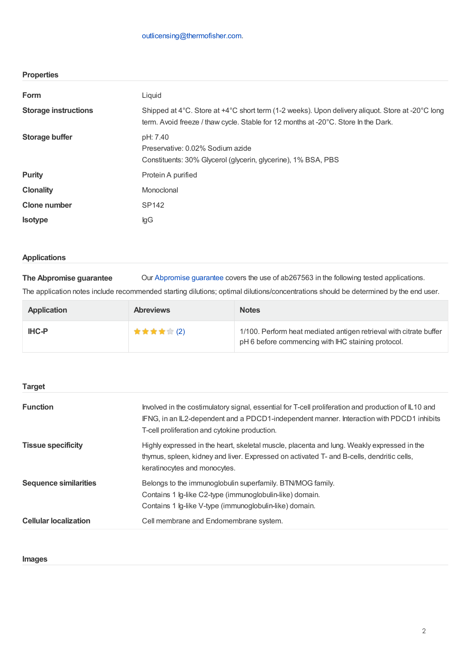| <b>Properties</b>           |                                                                                                                                                                                        |
|-----------------------------|----------------------------------------------------------------------------------------------------------------------------------------------------------------------------------------|
| Form                        | Liquid                                                                                                                                                                                 |
| <b>Storage instructions</b> | Shipped at 4°C. Store at +4°C short term (1-2 weeks). Upon delivery aliquot. Store at -20°C long<br>term. Avoid freeze / thaw cycle. Stable for 12 months at -20°C. Store In the Dark. |
| <b>Storage buffer</b>       | pH: 7.40<br>Preservative: 0.02% Sodium azide<br>Constituents: 30% Glycerol (glycerin, glycerine), 1% BSA, PBS                                                                          |
| <b>Purity</b>               | Protein A purified                                                                                                                                                                     |
| <b>Clonality</b>            | Monoclonal                                                                                                                                                                             |
| <b>Clone number</b>         | SP142                                                                                                                                                                                  |
| <b>Isotype</b>              | lgG                                                                                                                                                                                    |

#### **Applications**

**The Abpromise guarantee** Our [Abpromise](https://www.abcam.com/abpromise) guarantee covers the use of ab267563 in the following tested applications.

The application notes include recommended starting dilutions; optimal dilutions/concentrations should be determined by the end user.

| <b>Application</b> | <b>Abreviews</b> | <b>Notes</b>                                                                                                             |
|--------------------|------------------|--------------------------------------------------------------------------------------------------------------------------|
| <b>IHC-P</b>       | ★ ★ ★ ★ ★ (2)    | 1/100. Perform heat mediated antigen retrieval with citrate buffer<br>pH 6 before commencing with IHC staining protocol. |

| <b>Target</b>                |                                                                                                                                                                                                                                                   |
|------------------------------|---------------------------------------------------------------------------------------------------------------------------------------------------------------------------------------------------------------------------------------------------|
| <b>Function</b>              | Involved in the costimulatory signal, essential for T-cell proliferation and production of IL10 and<br>IFNG, in an IL2-dependent and a PDCD1-independent manner. Interaction with PDCD1 inhibits<br>T-cell proliferation and cytokine production. |
| <b>Tissue specificity</b>    | Highly expressed in the heart, skeletal muscle, placenta and lung. Weakly expressed in the<br>thymus, spleen, kidney and liver. Expressed on activated T- and B-cells, dendritic cells,<br>keratinocytes and monocytes.                           |
| <b>Sequence similarities</b> | Belongs to the immunoglobulin superfamily. BTN/MOG family.<br>Contains 1 Ig-like C2-type (immunoglobulin-like) domain.<br>Contains 1 lg-like V-type (immunoglobulin-like) domain.                                                                 |
| <b>Cellular localization</b> | Cell membrane and Endomembrane system.                                                                                                                                                                                                            |

#### **Images**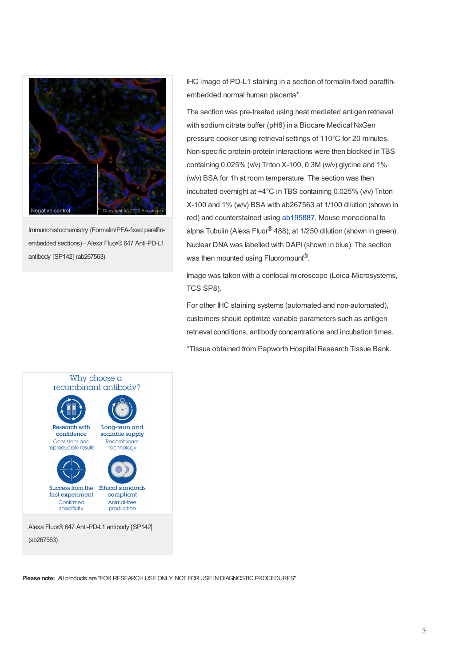

Immunohistochemistry (Formalin/PFA-fixed paraffinembedded sections) - Alexa Fluor® 647 Anti-PD-L1 antibody [SP142] (ab267563)

IHC image of PD-L1 staining in a section of formalin-fixed paraffinembedded normal human placenta\*.

The section was pre-treated using heat mediated antigen retrieval with sodium citrate buffer (pH6) in a Biocare Medical NxGen pressure cooker using retrieval settings of 110°C for 20 minutes. Non-specific protein-protein interactions were then blocked in TBS containing 0.025% (v/v) Triton X-100, 0.3M (w/v) glycine and 1% (w/v) BSA for 1h at room temperature. The section was then incubated overnight at +4°C in TBS containing 0.025% (v/v) Triton X-100 and 1% (w/v) BSA with ab267563 at 1/100 dilution (shown in red) and counterstained using [ab195887](https://www.abcam.com/ab195887.html), Mouse monoclonal to alpha Tubulin (Alexa Fluor® 488), at 1/250 dilution (shown in green). Nuclear DNA was labelled with DAPI(shown in blue). The section was then mounted using Fluoromount $^{\circledR}.$ 

Image was taken with a confocal microscope (Leica-Microsystems, TCS SP8).

For other IHC staining systems (automated and non-automated), customers should optimize variable parameters such as antigen retrieval conditions, antibody concentrations and incubation times.

\*Tissue obtained from Papworth Hospital Research Tissue Bank.



**Please note:** All products are "FOR RESEARCH USE ONLY. NOT FOR USE IN DIAGNOSTIC PROCEDURES"